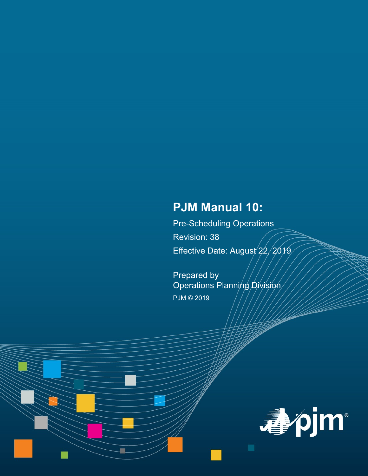# **PJM Manual 10:**

Pre-Scheduling Operations Revision: 38 Effective Date: August 22, 2019

Prepared by Operations Planning Division PJM © 2019

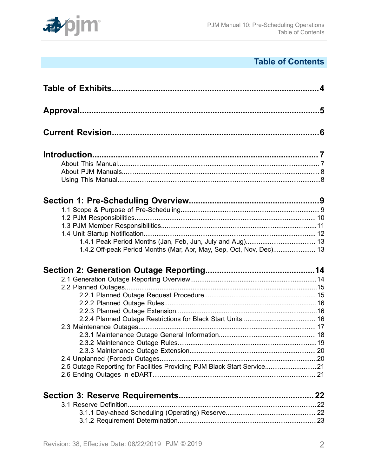

# **Table of Contents**

| 1.4.2 Off-peak Period Months (Mar, Apr, May, Sep, Oct, Nov, Dec) 13     |  |
|-------------------------------------------------------------------------|--|
|                                                                         |  |
|                                                                         |  |
|                                                                         |  |
|                                                                         |  |
|                                                                         |  |
|                                                                         |  |
|                                                                         |  |
|                                                                         |  |
|                                                                         |  |
|                                                                         |  |
|                                                                         |  |
|                                                                         |  |
|                                                                         |  |
| 2.5 Outage Reporting for Facilities Providing PJM Black Start Service21 |  |
|                                                                         |  |
|                                                                         |  |
|                                                                         |  |
|                                                                         |  |
|                                                                         |  |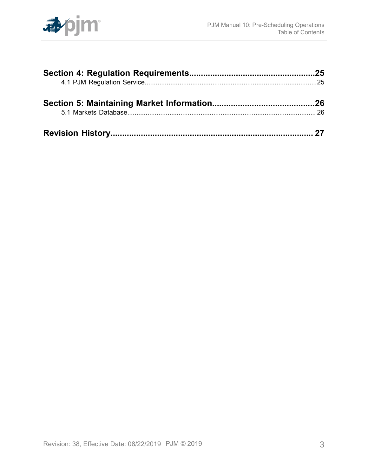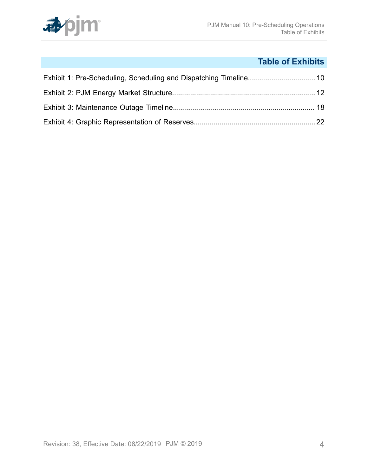

# **Table of Exhibits**

<span id="page-3-0"></span>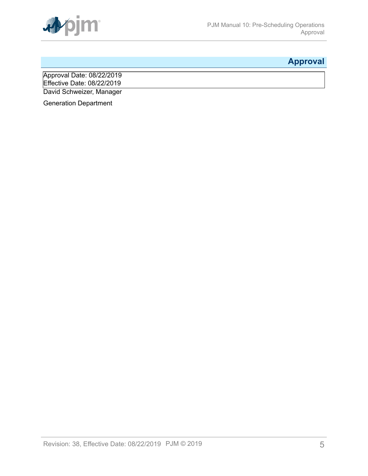

# <span id="page-4-0"></span>**Approval**

Approval Date: 08/22/2019 Effective Date: 08/22/2019 David Schweizer, Manager

Generation Department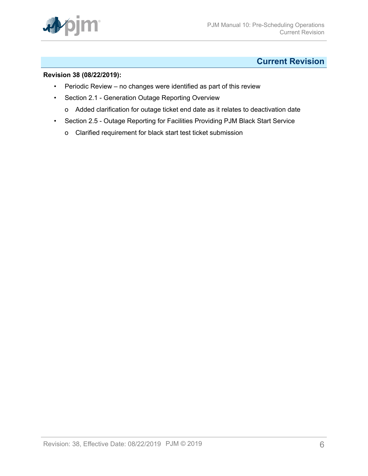

# <span id="page-5-0"></span>**Current Revision**

### **Revision 38 (08/22/2019):**

- Periodic Review no changes were identified as part of this review
- Section 2.1 Generation Outage Reporting Overview
	- o Added clarification for outage ticket end date as it relates to deactivation date
- Section 2.5 Outage Reporting for Facilities Providing PJM Black Start Service
	- o Clarified requirement for black start test ticket submission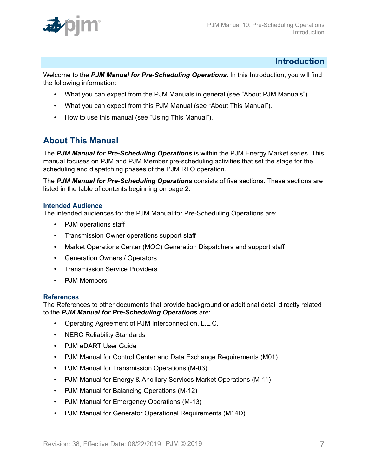

### <span id="page-6-0"></span>**Introduction**

Welcome to the *PJM Manual for Pre-Scheduling Operations.* In this Introduction, you will find the following information:

- What you can expect from the PJM Manuals in general (see "About PJM Manuals").
- What you can expect from this PJM Manual (see "About This Manual").
- How to use this manual (see "Using This Manual").

# <span id="page-6-1"></span>**About This Manual**

The *PJM Manual for Pre-Scheduling Operations* is within the PJM Energy Market series. This manual focuses on PJM and PJM Member pre-scheduling activities that set the stage for the scheduling and dispatching phases of the PJM RTO operation.

The *PJM Manual for Pre-Scheduling Operations* consists of five sections. These sections are listed in the table of contents beginning on page 2.

### **Intended Audience**

The intended audiences for the PJM Manual for Pre-Scheduling Operations are:

- PJM operations staff
- Transmission Owner operations support staff
- Market Operations Center (MOC) Generation Dispatchers and support staff
- Generation Owners / Operators
- Transmission Service Providers
- PJM Members

#### **References**

The References to other documents that provide background or additional detail directly related to the *PJM Manual for Pre-Scheduling Operations* are:

- Operating Agreement of PJM Interconnection, L.L.C.
- NERC Reliability Standards
- PJM eDART User Guide
- PJM Manual for Control Center and Data Exchange Requirements (M01)
- PJM Manual for Transmission Operations (M-03)
- PJM Manual for Energy & Ancillary Services Market Operations (M-11)
- PJM Manual for Balancing Operations (M-12)
- PJM Manual for Emergency Operations (M-13)
- PJM Manual for Generator Operational Requirements (M14D)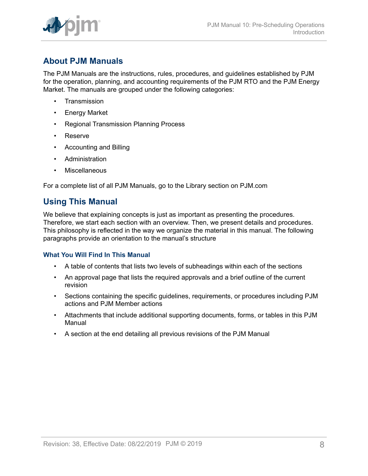

# <span id="page-7-0"></span>**About PJM Manuals**

The PJM Manuals are the instructions, rules, procedures, and guidelines established by PJM for the operation, planning, and accounting requirements of the PJM RTO and the PJM Energy Market. The manuals are grouped under the following categories:

- **Transmission**
- Energy Market
- Regional Transmission Planning Process
- Reserve
- Accounting and Billing
- Administration
- Miscellaneous

For a complete list of all PJM Manuals, go to the Library section on PJM.com

## <span id="page-7-1"></span>**Using This Manual**

We believe that explaining concepts is just as important as presenting the procedures. Therefore, we start each section with an overview. Then, we present details and procedures. This philosophy is reflected in the way we organize the material in this manual. The following paragraphs provide an orientation to the manual's structure

### **What You Will Find In This Manual**

- A table of contents that lists two levels of subheadings within each of the sections
- An approval page that lists the required approvals and a brief outline of the current revision
- Sections containing the specific guidelines, requirements, or procedures including PJM actions and PJM Member actions
- Attachments that include additional supporting documents, forms, or tables in this PJM Manual
- A section at the end detailing all previous revisions of the PJM Manual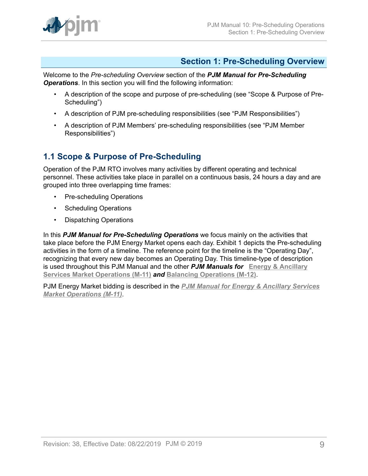

## <span id="page-8-0"></span>**Section 1: Pre-Scheduling Overview**

Welcome to the *Pre-scheduling Overview* section of the *PJM Manual for Pre-Scheduling Operations*. In this section you will find the following information:

- A description of the scope and purpose of pre-scheduling (see "Scope & Purpose of Pre-Scheduling")
- A description of PJM pre-scheduling responsibilities (see "PJM Responsibilities")
- A description of PJM Members' pre-scheduling responsibilities (see "PJM Member Responsibilities")

# <span id="page-8-1"></span>**1.1 Scope & Purpose of Pre-Scheduling**

Operation of the PJM RTO involves many activities by different operating and technical personnel. These activities take place in parallel on a continuous basis, 24 hours a day and are grouped into three overlapping time frames:

- Pre-scheduling Operations
- Scheduling Operations
- Dispatching Operations

In this *PJM Manual for Pre-Scheduling Operations* we focus mainly on the activities that take place before the PJM Energy Market opens each day. Exhibit 1 depicts the Pre-scheduling activities in the form of a timeline. The reference point for the timeline is the "Operating Day", recognizing that every new day becomes an Operating Day. This timeline-type of description is used throughout this PJM Manual and the other *PJM Manuals for* **[Energy & Ancillary](http://pjm.com/~/media/documents/manuals/m11.ashx) Services Market [Operations](http://pjm.com/~/media/documents/manuals/m11.ashx) (M-11)** *and* **[Balancing Operations \(M-12\)](http://pjm.com/~/media/documents/manuals/m12.ashx)**.

PJM Energy Market bidding is described in the *[PJM Manual for Energy & Ancillary Services](http://pjm.com/~/media/documents/manuals/m11.ashx) Market [Operations](http://pjm.com/~/media/documents/manuals/m11.ashx) (M-11)*.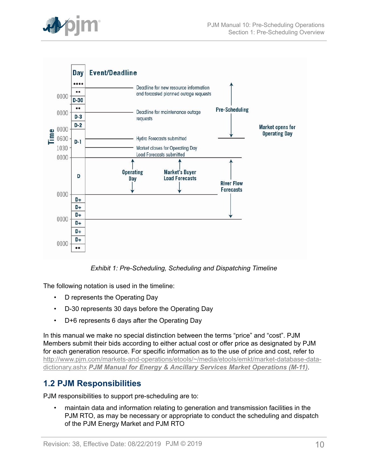

<span id="page-9-1"></span>

*Exhibit 1: Pre-Scheduling, Scheduling and Dispatching Timeline*

The following notation is used in the timeline:

- D represents the Operating Day
- D-30 represents 30 days before the Operating Day
- D+6 represents 6 days after the Operating Day

In this manual we make no special distinction between the terms "price" and "cost". PJM Members submit their bids according to either actual cost or offer price as designated by PJM for each generation resource. For specific information as to the use of price and cost, refer to [http://www.pjm.com/markets-and-operations/etools/~/media/etools/emkt/market-database-data](http://www.pjm.com/markets-and-operations/etools/~/media/etools/emkt/market-database-data-dictionary.ashx)[dictionary.ashx](http://www.pjm.com/markets-and-operations/etools/~/media/etools/emkt/market-database-data-dictionary.ashx) *PJM Manual for Energy & Ancillary Services Market [Operations](http://pjm.com/~/media/documents/manuals/m11.ashx) (M-11)*.

## <span id="page-9-0"></span>**1.2 PJM Responsibilities**

PJM responsibilities to support pre-scheduling are to:

• maintain data and information relating to generation and transmission facilities in the PJM RTO, as may be necessary or appropriate to conduct the scheduling and dispatch of the PJM Energy Market and PJM RTO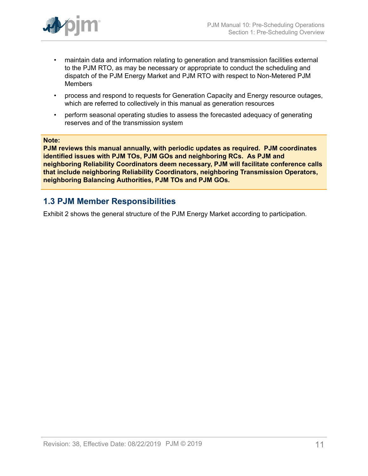

- maintain data and information relating to generation and transmission facilities external to the PJM RTO, as may be necessary or appropriate to conduct the scheduling and dispatch of the PJM Energy Market and PJM RTO with respect to Non-Metered PJM Members
- process and respond to requests for Generation Capacity and Energy resource outages, which are referred to collectively in this manual as generation resources
- perform seasonal operating studies to assess the forecasted adequacy of generating reserves and of the transmission system

#### **Note:**

**PJM reviews this manual annually, with periodic updates as required. PJM coordinates identified issues with PJM TOs, PJM GOs and neighboring RCs. As PJM and neighboring Reliability Coordinators deem necessary, PJM will facilitate conference calls that include neighboring Reliability Coordinators, neighboring Transmission Operators, neighboring Balancing Authorities, PJM TOs and PJM GOs.**

### <span id="page-10-0"></span>**1.3 PJM Member Responsibilities**

Exhibit 2 shows the general structure of the PJM Energy Market according to participation.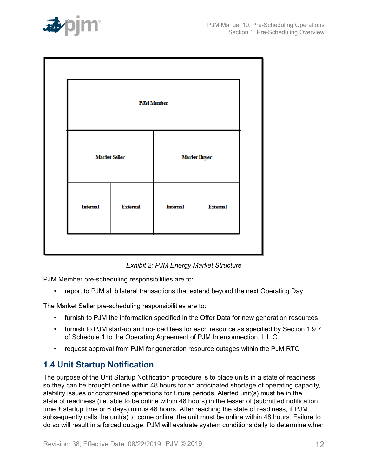

<span id="page-11-1"></span>

| <b>PJM</b> Member    |                 |                     |                 |  |
|----------------------|-----------------|---------------------|-----------------|--|
| <b>Marlet Seller</b> |                 | <b>Marlet Buyer</b> |                 |  |
| Internal             | <b>External</b> | Internal            | <b>External</b> |  |
|                      |                 |                     |                 |  |

*Exhibit 2: PJM Energy Market Structure*

PJM Member pre-scheduling responsibilities are to:

• report to PJM all bilateral transactions that extend beyond the next Operating Day

The Market Seller pre-scheduling responsibilities are to:

- furnish to PJM the information specified in the Offer Data for new generation resources
- furnish to PJM start-up and no-load fees for each resource as specified by Section 1.9.7 of Schedule 1 to the Operating Agreement of PJM Interconnection, L.L.C.
- request approval from PJM for generation resource outages within the PJM RTO

# <span id="page-11-0"></span>**1.4 Unit Startup Notification**

The purpose of the Unit Startup Notification procedure is to place units in a state of readiness so they can be brought online within 48 hours for an anticipated shortage of operating capacity, stability issues or constrained operations for future periods. Alerted unit(s) must be in the state of readiness (i.e. able to be online within 48 hours) in the lesser of (submitted notification time + startup time or 6 days) minus 48 hours. After reaching the state of readiness, if PJM subsequently calls the unit(s) to come online, the unit must be online within 48 hours. Failure to do so will result in a forced outage. PJM will evaluate system conditions daily to determine when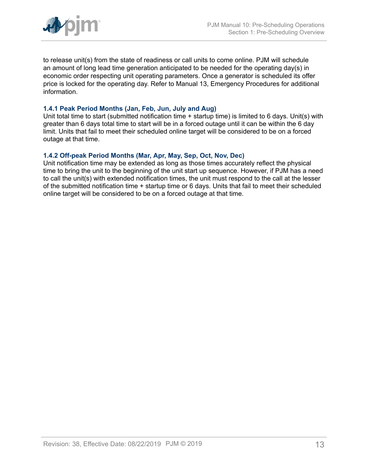

to release unit(s) from the state of readiness or call units to come online. PJM will schedule an amount of long lead time generation anticipated to be needed for the operating day(s) in economic order respecting unit operating parameters. Once a generator is scheduled its offer price is locked for the operating day. Refer to Manual 13, Emergency Procedures for additional information.

#### <span id="page-12-0"></span>**1.4.1 Peak Period Months (Jan, Feb, Jun, July and Aug)**

Unit total time to start (submitted notification time + startup time) is limited to 6 days. Unit(s) with greater than 6 days total time to start will be in a forced outage until it can be within the 6 day limit. Units that fail to meet their scheduled online target will be considered to be on a forced outage at that time.

#### <span id="page-12-1"></span>**1.4.2 Off-peak Period Months (Mar, Apr, May, Sep, Oct, Nov, Dec)**

Unit notification time may be extended as long as those times accurately reflect the physical time to bring the unit to the beginning of the unit start up sequence. However, if PJM has a need to call the unit(s) with extended notification times, the unit must respond to the call at the lesser of the submitted notification time + startup time or 6 days. Units that fail to meet their scheduled online target will be considered to be on a forced outage at that time.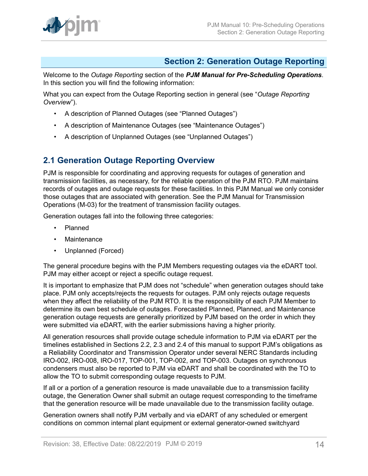# <span id="page-13-0"></span>**Section 2: Generation Outage Reporting**

Welcome to the *Outage Reporting* section of the *PJM Manual for Pre-Scheduling Operations*. In this section you will find the following information:

What you can expect from the Outage Reporting section in general (see "*Outage Reporting Overview*").

- A description of Planned Outages (see "Planned Outages")
- A description of Maintenance Outages (see "Maintenance Outages")
- A description of Unplanned Outages (see "Unplanned Outages")

# <span id="page-13-1"></span>**2.1 Generation Outage Reporting Overview**

PJM is responsible for coordinating and approving requests for outages of generation and transmission facilities, as necessary, for the reliable operation of the PJM RTO. PJM maintains records of outages and outage requests for these facilities. In this PJM Manual we only consider those outages that are associated with generation. See the PJM Manual for Transmission Operations (M-03) for the treatment of transmission facility outages.

Generation outages fall into the following three categories:

- Planned
- Maintenance
- Unplanned (Forced)

The general procedure begins with the PJM Members requesting outages via the eDART tool. PJM may either accept or reject a specific outage request.

It is important to emphasize that PJM does not "schedule" when generation outages should take place. PJM only accepts/rejects the requests for outages. PJM only rejects outage requests when they affect the reliability of the PJM RTO. It is the responsibility of each PJM Member to determine its own best schedule of outages. Forecasted Planned, Planned, and Maintenance generation outage requests are generally prioritized by PJM based on the order in which they were submitted via eDART, with the earlier submissions having a higher priority.

All generation resources shall provide outage schedule information to PJM via eDART per the timelines established in Sections 2.2, 2.3 and 2.4 of this manual to support PJM's obligations as a Reliability Coordinator and Transmission Operator under several NERC Standards including IRO-002, IRO-008, IRO-017, TOP-001, TOP-002, and TOP-003. Outages on synchronous condensers must also be reported to PJM via eDART and shall be coordinated with the TO to allow the TO to submit corresponding outage requests to PJM.

If all or a portion of a generation resource is made unavailable due to a transmission facility outage, the Generation Owner shall submit an outage request corresponding to the timeframe that the generation resource will be made unavailable due to the transmission facility outage.

Generation owners shall notify PJM verbally and via eDART of any scheduled or emergent conditions on common internal plant equipment or external generator-owned switchyard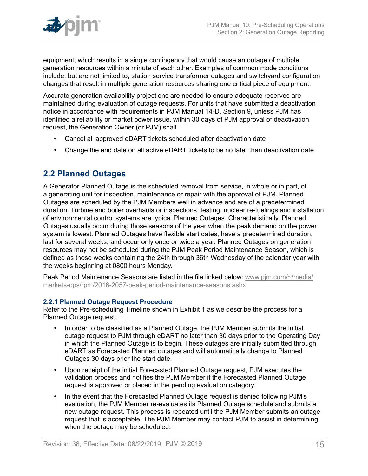

equipment, which results in a single contingency that would cause an outage of multiple generation resources within a minute of each other. Examples of common mode conditions include, but are not limited to, station service transformer outages and switchyard configuration changes that result in multiple generation resources sharing one critical piece of equipment.

Accurate generation availability projections are needed to ensure adequate reserves are maintained during evaluation of outage requests. For units that have submitted a deactivation notice in accordance with requirements in PJM Manual 14-D, Section 9, unless PJM has identified a reliability or market power issue, within 30 days of PJM approval of deactivation request, the Generation Owner (or PJM) shall

- Cancel all approved eDART tickets scheduled after deactivation date
- Change the end date on all active eDART tickets to be no later than deactivation date.

### <span id="page-14-0"></span>**2.2 Planned Outages**

A Generator Planned Outage is the scheduled removal from service, in whole or in part, of a generating unit for inspection, maintenance or repair with the approval of PJM. Planned Outages are scheduled by the PJM Members well in advance and are of a predetermined duration. Turbine and boiler overhauls or inspections, testing, nuclear re-fuelings and installation of environmental control systems are typical Planned Outages. Characteristically, Planned Outages usually occur during those seasons of the year when the peak demand on the power system is lowest. Planned Outages have flexible start dates, have a predetermined duration, last for several weeks, and occur only once or twice a year. Planned Outages on generation resources may not be scheduled during the PJM Peak Period Maintenance Season, which is defined as those weeks containing the 24th through 36th Wednesday of the calendar year with the weeks beginning at 0800 hours Monday.

Peak Period Maintenance Seasons are listed in the file linked below: [www.pjm.com/~/media/](http://www.pjm.com/~/media/markets-ops/rpm/2016-2057-peak-period-maintenance-seasons.ashx) [markets-ops/rpm/2016-2057-peak-period-maintenance-seasons.ashx](http://www.pjm.com/~/media/markets-ops/rpm/2016-2057-peak-period-maintenance-seasons.ashx)

### <span id="page-14-1"></span>**2.2.1 Planned Outage Request Procedure**

Refer to the Pre-scheduling Timeline shown in Exhibit 1 as we describe the process for a Planned Outage request.

- In order to be classified as a Planned Outage, the PJM Member submits the initial outage request to PJM through eDART no later than 30 days prior to the Operating Day in which the Planned Outage is to begin. These outages are initially submitted through eDART as Forecasted Planned outages and will automatically change to Planned Outages 30 days prior the start date.
- Upon receipt of the initial Forecasted Planned Outage request, PJM executes the validation process and notifies the PJM Member if the Forecasted Planned Outage request is approved or placed in the pending evaluation category.
- In the event that the Forecasted Planned Outage request is denied following PJM's evaluation, the PJM Member re-evaluates its Planned Outage schedule and submits a new outage request. This process is repeated until the PJM Member submits an outage request that is acceptable. The PJM Member may contact PJM to assist in determining when the outage may be scheduled.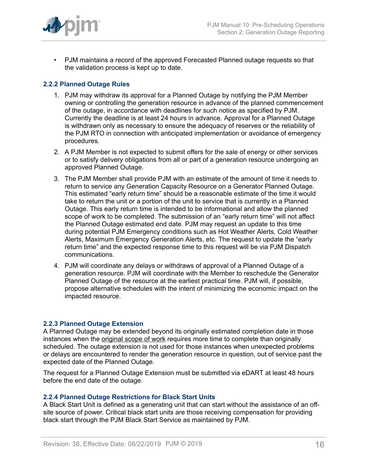

• PJM maintains a record of the approved Forecasted Planned outage requests so that the validation process is kept up to date.

### <span id="page-15-0"></span>**2.2.2 Planned Outage Rules**

- 1. PJM may withdraw its approval for a Planned Outage by notifying the PJM Member owning or controlling the generation resource in advance of the planned commencement of the outage, in accordance with deadlines for such notice as specified by PJM. Currently the deadline is at least 24 hours in advance. Approval for a Planned Outage is withdrawn only as necessary to ensure the adequacy of reserves or the reliability of the PJM RTO in connection with anticipated implementation or avoidance of emergency procedures.
- 2. A PJM Member is not expected to submit offers for the sale of energy or other services or to satisfy delivery obligations from all or part of a generation resource undergoing an approved Planned Outage.
- 3. The PJM Member shall provide PJM with an estimate of the amount of time it needs to return to service any Generation Capacity Resource on a Generator Planned Outage. This estimated "early return time" should be a reasonable estimate of the time it would take to return the unit or a portion of the unit to service that is currently in a Planned Outage. This early return time is intended to be informational and allow the planned scope of work to be completed. The submission of an "early return time" will not affect the Planned Outage estimated end date. PJM may request an update to this time during potential PJM Emergency conditions such as Hot Weather Alerts, Cold Weather Alerts, Maximum Emergency Generation Alerts, etc. The request to update the "early return time" and the expected response time to this request will be via PJM Dispatch communications.
- 4. PJM will coordinate any delays or withdraws of approval of a Planned Outage of a generation resource. PJM will coordinate with the Member to reschedule the Generator Planned Outage of the resource at the earliest practical time. PJM will, if possible, propose alternative schedules with the intent of minimizing the economic impact on the impacted resource.

### <span id="page-15-1"></span>**2.2.3 Planned Outage Extension**

A Planned Outage may be extended beyond its originally estimated completion date in those instances when the original scope of work requires more time to complete than originally scheduled. The outage extension is not used for those instances when unexpected problems or delays are encountered to render the generation resource in question, out of service past the expected date of the Planned Outage.

The request for a Planned Outage Extension must be submitted via eDART at least 48 hours before the end date of the outage.

### <span id="page-15-2"></span>**2.2.4 Planned Outage Restrictions for Black Start Units**

A Black Start Unit is defined as a generating unit that can start without the assistance of an offsite source of power. Critical black start units are those receiving compensation for providing black start through the PJM Black Start Service as maintained by PJM.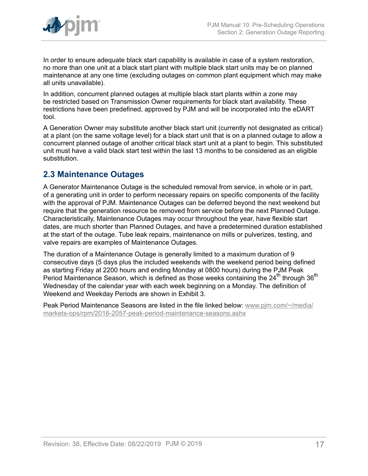

In order to ensure adequate black start capability is available in case of a system restoration, no more than one unit at a black start plant with multiple black start units may be on planned maintenance at any one time (excluding outages on common plant equipment which may make all units unavailable).

In addition, concurrent planned outages at multiple black start plants within a zone may be restricted based on Transmission Owner requirements for black start availability. These restrictions have been predefined, approved by PJM and will be incorporated into the eDART tool.

A Generation Owner may substitute another black start unit (currently not designated as critical) at a plant (on the same voltage level) for a black start unit that is on a planned outage to allow a concurrent planned outage of another critical black start unit at a plant to begin. This substituted unit must have a valid black start test within the last 13 months to be considered as an eligible substitution.

## <span id="page-16-0"></span>**2.3 Maintenance Outages**

A Generator Maintenance Outage is the scheduled removal from service, in whole or in part, of a generating unit in order to perform necessary repairs on specific components of the facility with the approval of PJM. Maintenance Outages can be deferred beyond the next weekend but require that the generation resource be removed from service before the next Planned Outage. Characteristically, Maintenance Outages may occur throughout the year, have flexible start dates, are much shorter than Planned Outages, and have a predetermined duration established at the start of the outage. Tube leak repairs, maintenance on mills or pulverizes, testing, and valve repairs are examples of Maintenance Outages.

The duration of a Maintenance Outage is generally limited to a maximum duration of 9 consecutive days (5 days plus the included weekends with the weekend period being defined as starting Friday at 2200 hours and ending Monday at 0800 hours) during the PJM Peak Period Maintenance Season, which is defined as those weeks containing the  $24^{th}$  through  $36^{th}$ Wednesday of the calendar year with each week beginning on a Monday. The definition of Weekend and Weekday Periods are shown in Exhibit 3.

Peak Period Maintenance Seasons are listed in the file linked below: [www.pjm.com/~/media/](http://www.pjm.com/~/media/markets-ops/rpm/2016-2057-peak-period-maintenance-seasons.ashx) [markets-ops/rpm/2016-2057-peak-period-maintenance-seasons.ashx](http://www.pjm.com/~/media/markets-ops/rpm/2016-2057-peak-period-maintenance-seasons.ashx)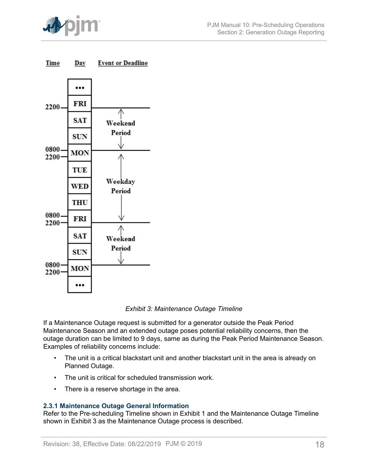

<span id="page-17-1"></span>



*Exhibit 3: Maintenance Outage Timeline*

If a Maintenance Outage request is submitted for a generator outside the Peak Period Maintenance Season and an extended outage poses potential reliability concerns, then the outage duration can be limited to 9 days, same as during the Peak Period Maintenance Season. Examples of reliability concerns include:

- The unit is a critical blackstart unit and another blackstart unit in the area is already on Planned Outage.
- The unit is critical for scheduled transmission work.
- There is a reserve shortage in the area.

### <span id="page-17-0"></span>**2.3.1 Maintenance Outage General Information**

Refer to the Pre-scheduling Timeline shown in Exhibit 1 and the Maintenance Outage Timeline shown in Exhibit 3 as the Maintenance Outage process is described.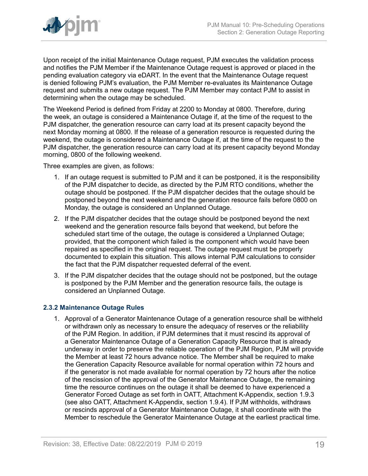

Upon receipt of the initial Maintenance Outage request, PJM executes the validation process and notifies the PJM Member if the Maintenance Outage request is approved or placed in the pending evaluation category via eDART. In the event that the Maintenance Outage request is denied following PJM's evaluation, the PJM Member re-evaluates its Maintenance Outage request and submits a new outage request. The PJM Member may contact PJM to assist in determining when the outage may be scheduled.

The Weekend Period is defined from Friday at 2200 to Monday at 0800. Therefore, during the week, an outage is considered a Maintenance Outage if, at the time of the request to the PJM dispatcher, the generation resource can carry load at its present capacity beyond the next Monday morning at 0800. If the release of a generation resource is requested during the weekend, the outage is considered a Maintenance Outage if, at the time of the request to the PJM dispatcher, the generation resource can carry load at its present capacity beyond Monday morning, 0800 of the following weekend.

Three examples are given, as follows:

- 1. If an outage request is submitted to PJM and it can be postponed, it is the responsibility of the PJM dispatcher to decide, as directed by the PJM RTO conditions, whether the outage should be postponed. If the PJM dispatcher decides that the outage should be postponed beyond the next weekend and the generation resource fails before 0800 on Monday, the outage is considered an Unplanned Outage.
- 2. If the PJM dispatcher decides that the outage should be postponed beyond the next weekend and the generation resource fails beyond that weekend, but before the scheduled start time of the outage, the outage is considered a Unplanned Outage; provided, that the component which failed is the component which would have been repaired as specified in the original request. The outage request must be properly documented to explain this situation. This allows internal PJM calculations to consider the fact that the PJM dispatcher requested deferral of the event.
- 3. If the PJM dispatcher decides that the outage should not be postponed, but the outage is postponed by the PJM Member and the generation resource fails, the outage is considered an Unplanned Outage.

### <span id="page-18-0"></span>**2.3.2 Maintenance Outage Rules**

1. Approval of a Generator Maintenance Outage of a generation resource shall be withheld or withdrawn only as necessary to ensure the adequacy of reserves or the reliability of the PJM Region. In addition, if PJM determines that it must rescind its approval of a Generator Maintenance Outage of a Generation Capacity Resource that is already underway in order to preserve the reliable operation of the PJM Region, PJM will provide the Member at least 72 hours advance notice. The Member shall be required to make the Generation Capacity Resource available for normal operation within 72 hours and if the generator is not made available for normal operation by 72 hours after the notice of the rescission of the approval of the Generator Maintenance Outage, the remaining time the resource continues on the outage it shall be deemed to have experienced a Generator Forced Outage as set forth in OATT, Attachment K-Appendix, section 1.9.3 (see also OATT, Attachment K-Appendix, section 1.9.4). If PJM withholds, withdraws or rescinds approval of a Generator Maintenance Outage, it shall coordinate with the Member to reschedule the Generator Maintenance Outage at the earliest practical time.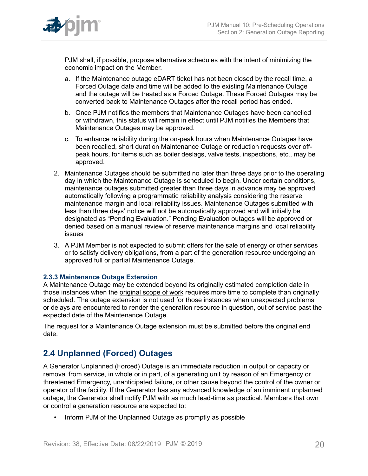

PJM shall, if possible, propose alternative schedules with the intent of minimizing the economic impact on the Member.

- a. If the Maintenance outage eDART ticket has not been closed by the recall time, a Forced Outage date and time will be added to the existing Maintenance Outage and the outage will be treated as a Forced Outage. These Forced Outages may be converted back to Maintenance Outages after the recall period has ended.
- b. Once PJM notifies the members that Maintenance Outages have been cancelled or withdrawn, this status will remain in effect until PJM notifies the Members that Maintenance Outages may be approved.
- c. To enhance reliability during the on-peak hours when Maintenance Outages have been recalled, short duration Maintenance Outage or reduction requests over offpeak hours, for items such as boiler deslags, valve tests, inspections, etc., may be approved.
- 2. Maintenance Outages should be submitted no later than three days prior to the operating day in which the Maintenance Outage is scheduled to begin. Under certain conditions, maintenance outages submitted greater than three days in advance may be approved automatically following a programmatic reliability analysis considering the reserve maintenance margin and local reliability issues. Maintenance Outages submitted with less than three days' notice will not be automatically approved and will initially be designated as "Pending Evaluation." Pending Evaluation outages will be approved or denied based on a manual review of reserve maintenance margins and local reliability issues
- 3. A PJM Member is not expected to submit offers for the sale of energy or other services or to satisfy delivery obligations, from a part of the generation resource undergoing an approved full or partial Maintenance Outage.

### <span id="page-19-0"></span>**2.3.3 Maintenance Outage Extension**

A Maintenance Outage may be extended beyond its originally estimated completion date in those instances when the original scope of work requires more time to complete than originally scheduled. The outage extension is not used for those instances when unexpected problems or delays are encountered to render the generation resource in question, out of service past the expected date of the Maintenance Outage.

The request for a Maintenance Outage extension must be submitted before the original end date.

## <span id="page-19-1"></span>**2.4 Unplanned (Forced) Outages**

A Generator Unplanned (Forced) Outage is an immediate reduction in output or capacity or removal from service, in whole or in part, of a generating unit by reason of an Emergency or threatened Emergency, unanticipated failure, or other cause beyond the control of the owner or operator of the facility. If the Generator has any advanced knowledge of an imminent unplanned outage, the Generator shall notify PJM with as much lead-time as practical. Members that own or control a generation resource are expected to:

• Inform PJM of the Unplanned Outage as promptly as possible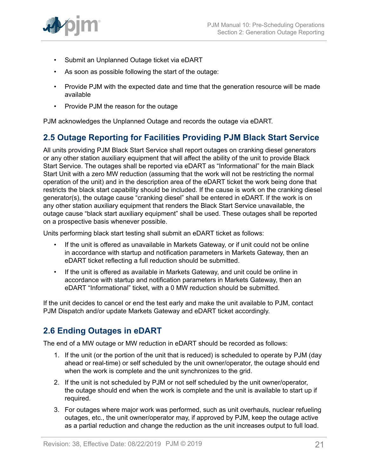

- Submit an Unplanned Outage ticket via eDART
- As soon as possible following the start of the outage:
- Provide PJM with the expected date and time that the generation resource will be made available
- Provide PJM the reason for the outage

PJM acknowledges the Unplanned Outage and records the outage via eDART.

# <span id="page-20-0"></span>**2.5 Outage Reporting for Facilities Providing PJM Black Start Service**

All units providing PJM Black Start Service shall report outages on cranking diesel generators or any other station auxiliary equipment that will affect the ability of the unit to provide Black Start Service. The outages shall be reported via eDART as "Informational" for the main Black Start Unit with a zero MW reduction (assuming that the work will not be restricting the normal operation of the unit) and in the description area of the eDART ticket the work being done that restricts the black start capability should be included. If the cause is work on the cranking diesel generator(s), the outage cause "cranking diesel" shall be entered in eDART. If the work is on any other station auxiliary equipment that renders the Black Start Service unavailable, the outage cause "black start auxiliary equipment" shall be used. These outages shall be reported on a prospective basis whenever possible.

Units performing black start testing shall submit an eDART ticket as follows:

- If the unit is offered as unavailable in Markets Gateway, or if unit could not be online in accordance with startup and notification parameters in Markets Gateway, then an eDART ticket reflecting a full reduction should be submitted.
- If the unit is offered as available in Markets Gateway, and unit could be online in accordance with startup and notification parameters in Markets Gateway, then an eDART "Informational" ticket, with a 0 MW reduction should be submitted.

If the unit decides to cancel or end the test early and make the unit available to PJM, contact PJM Dispatch and/or update Markets Gateway and eDART ticket accordingly.

# <span id="page-20-1"></span>**2.6 Ending Outages in eDART**

The end of a MW outage or MW reduction in eDART should be recorded as follows:

- 1. If the unit (or the portion of the unit that is reduced) is scheduled to operate by PJM (day ahead or real-time) or self scheduled by the unit owner/operator, the outage should end when the work is complete and the unit synchronizes to the grid.
- 2. If the unit is not scheduled by PJM or not self scheduled by the unit owner/operator, the outage should end when the work is complete and the unit is available to start up if required.
- 3. For outages where major work was performed, such as unit overhauls, nuclear refueling outages, etc., the unit owner/operator may, if approved by PJM, keep the outage active as a partial reduction and change the reduction as the unit increases output to full load.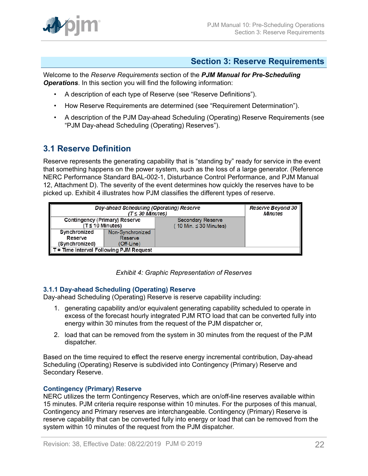

### <span id="page-21-0"></span>**Section 3: Reserve Requirements**

Welcome to the *Reserve Requirements* section of the *PJM Manual for Pre-Scheduling Operations*. In this section you will find the following information:

- A description of each type of Reserve (see "Reserve Definitions").
- How Reserve Requirements are determined (see "Requirement Determination").
- A description of the PJM Day-ahead Scheduling (Operating) Reserve Requirements (see "PJM Day-ahead Scheduling (Operating) Reserves").

## <span id="page-21-1"></span>**3.1 Reserve Definition**

Reserve represents the generating capability that is "standing by" ready for service in the event that something happens on the power system, such as the loss of a large generator. (Reference NERC Performance Standard BAL-002-1, Disturbance Control Performance, and PJM Manual 12, Attachment D). The severity of the event determines how quickly the reserves have to be picked up. Exhibit 4 illustrates how PJM classifies the different types of reserve.

<span id="page-21-3"></span>

| Day-ahead Scheduling (Operating) Reserve | Reserve Beyond 30<br><b>Minutes</b> |                            |  |  |  |
|------------------------------------------|-------------------------------------|----------------------------|--|--|--|
| Contingency (Primary) Reserve            |                                     | <b>Secondary Reserve</b>   |  |  |  |
| $(T \leq 10$ Minutes)                    |                                     | 10 Min. $\leq$ 30 Minutes) |  |  |  |
| Synchronized                             | Non-Synchronized                    |                            |  |  |  |
| Reserve                                  | Reserve                             |                            |  |  |  |
| (Synchronized)                           | (Off-Line)                          |                            |  |  |  |
| T = Time Interval Following PJM Request  |                                     |                            |  |  |  |

*Exhibit 4: Graphic Representation of Reserves*

### <span id="page-21-2"></span>**3.1.1 Day-ahead Scheduling (Operating) Reserve**

Day-ahead Scheduling (Operating) Reserve is reserve capability including:

- 1. generating capability and/or equivalent generating capability scheduled to operate in excess of the forecast hourly integrated PJM RTO load that can be converted fully into energy within 30 minutes from the request of the PJM dispatcher or,
- 2. load that can be removed from the system in 30 minutes from the request of the PJM dispatcher.

Based on the time required to effect the reserve energy incremental contribution, Day-ahead Scheduling (Operating) Reserve is subdivided into Contingency (Primary) Reserve and Secondary Reserve.

### **Contingency (Primary) Reserve**

NERC utilizes the term Contingency Reserves, which are on/off-line reserves available within 15 minutes. PJM criteria require response within 10 minutes. For the purposes of this manual, Contingency and Primary reserves are interchangeable. Contingency (Primary) Reserve is reserve capability that can be converted fully into energy or load that can be removed from the system within 10 minutes of the request from the PJM dispatcher.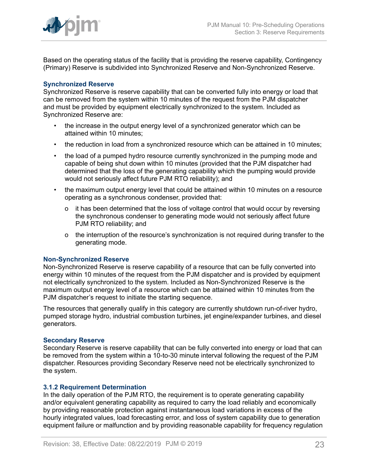

Based on the operating status of the facility that is providing the reserve capability, Contingency (Primary) Reserve is subdivided into Synchronized Reserve and Non-Synchronized Reserve.

### **Synchronized Reserve**

Synchronized Reserve is reserve capability that can be converted fully into energy or load that can be removed from the system within 10 minutes of the request from the PJM dispatcher and must be provided by equipment electrically synchronized to the system. Included as Synchronized Reserve are:

- the increase in the output energy level of a synchronized generator which can be attained within 10 minutes;
- the reduction in load from a synchronized resource which can be attained in 10 minutes;
- the load of a pumped hydro resource currently synchronized in the pumping mode and capable of being shut down within 10 minutes (provided that the PJM dispatcher had determined that the loss of the generating capability which the pumping would provide would not seriously affect future PJM RTO reliability); and
- the maximum output energy level that could be attained within 10 minutes on a resource operating as a synchronous condenser, provided that:
	- o it has been determined that the loss of voltage control that would occur by reversing the synchronous condenser to generating mode would not seriously affect future PJM RTO reliability; and
	- o the interruption of the resource's synchronization is not required during transfer to the generating mode.

#### **Non-Synchronized Reserve**

Non-Synchronized Reserve is reserve capability of a resource that can be fully converted into energy within 10 minutes of the request from the PJM dispatcher and is provided by equipment not electrically synchronized to the system. Included as Non-Synchronized Reserve is the maximum output energy level of a resource which can be attained within 10 minutes from the PJM dispatcher's request to initiate the starting sequence.

The resources that generally qualify in this category are currently shutdown run-of-river hydro, pumped storage hydro, industrial combustion turbines, jet engine/expander turbines, and diesel generators.

#### **Secondary Reserve**

Secondary Reserve is reserve capability that can be fully converted into energy or load that can be removed from the system within a 10-to-30 minute interval following the request of the PJM dispatcher. Resources providing Secondary Reserve need not be electrically synchronized to the system.

### <span id="page-22-0"></span>**3.1.2 Requirement Determination**

In the daily operation of the PJM RTO, the requirement is to operate generating capability and/or equivalent generating capability as required to carry the load reliably and economically by providing reasonable protection against instantaneous load variations in excess of the hourly integrated values, load forecasting error, and loss of system capability due to generation equipment failure or malfunction and by providing reasonable capability for frequency regulation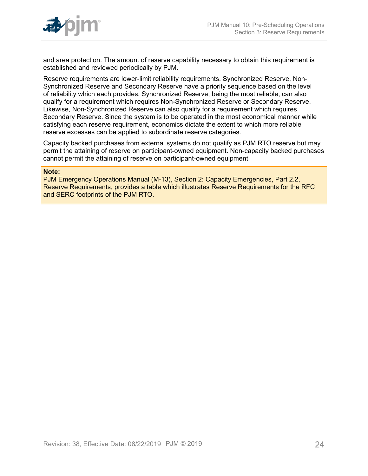

and area protection. The amount of reserve capability necessary to obtain this requirement is established and reviewed periodically by PJM.

Reserve requirements are lower-limit reliability requirements. Synchronized Reserve, Non-Synchronized Reserve and Secondary Reserve have a priority sequence based on the level of reliability which each provides. Synchronized Reserve, being the most reliable, can also qualify for a requirement which requires Non-Synchronized Reserve or Secondary Reserve. Likewise, Non-Synchronized Reserve can also qualify for a requirement which requires Secondary Reserve. Since the system is to be operated in the most economical manner while satisfying each reserve requirement, economics dictate the extent to which more reliable reserve excesses can be applied to subordinate reserve categories.

Capacity backed purchases from external systems do not qualify as PJM RTO reserve but may permit the attaining of reserve on participant-owned equipment. Non-capacity backed purchases cannot permit the attaining of reserve on participant-owned equipment.

#### **Note:**

PJM Emergency Operations Manual (M-13), Section 2: Capacity Emergencies, Part 2.2, Reserve Requirements, provides a table which illustrates Reserve Requirements for the RFC and SERC footprints of the PJM RTO.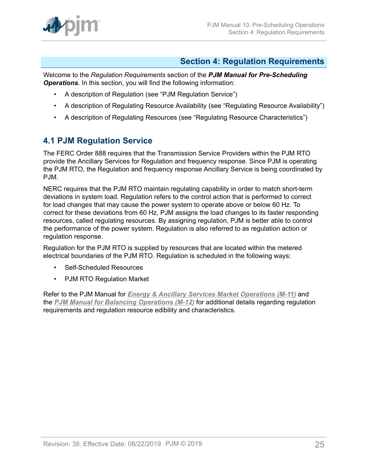

## <span id="page-24-0"></span>**Section 4: Regulation Requirements**

Welcome to the *Regulation Requirements* section of the *PJM Manual for Pre-Scheduling Operations*. In this section, you will find the following information:

- A description of Regulation (see "PJM Regulation Service")
- A description of Regulating Resource Availability (see "Regulating Resource Availability")
- A description of Regulating Resources (see "Regulating Resource Characteristics")

## <span id="page-24-1"></span>**4.1 PJM Regulation Service**

The FERC Order 888 requires that the Transmission Service Providers within the PJM RTO provide the Ancillary Services for Regulation and frequency response. Since PJM is operating the PJM RTO, the Regulation and frequency response Ancillary Service is being coordinated by PJM.

NERC requires that the PJM RTO maintain regulating capability in order to match short-term deviations in system load. Regulation refers to the control action that is performed to correct for load changes that may cause the power system to operate above or below 60 Hz. To correct for these deviations from 60 Hz, PJM assigns the load changes to its faster responding resources, called regulating resources. By assigning regulation, PJM is better able to control the performance of the power system. Regulation is also referred to as regulation action or regulation response.

Regulation for the PJM RTO is supplied by resources that are located within the metered electrical boundaries of the PJM RTO. Regulation is scheduled in the following ways:

- Self-Scheduled Resources
- PJM RTO Regulation Market

Refer to the PJM Manual for *Energy & Ancillary Services Market [Operations](http://pjm.com/~/media/documents/manuals/m11.ashx) (M-11)* and the *[PJM Manual for Balancing Operations \(M-12\)](http://pjm.com/~/media/documents/manuals/m12.ashx)* for additional details regarding regulation requirements and regulation resource edibility and characteristics.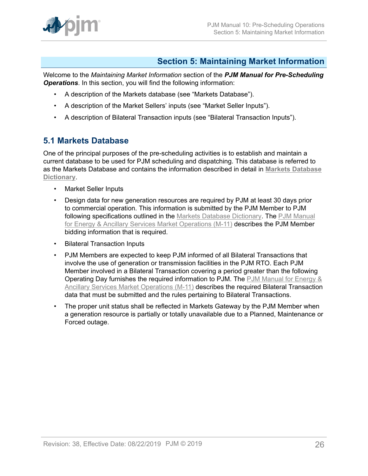

# <span id="page-25-0"></span>**Section 5: Maintaining Market Information**

Welcome to the *Maintaining Market Information* section of the *PJM Manual for Pre-Scheduling Operations*. In this section, you will find the following information:

- A description of the Markets database (see "Markets Database").
- A description of the Market Sellers' inputs (see "Market Seller Inputs").
- A description of Bilateral Transaction inputs (see "Bilateral Transaction Inputs").

### <span id="page-25-1"></span>**5.1 Markets Database**

One of the principal purposes of the pre-scheduling activities is to establish and maintain a current database to be used for PJM scheduling and dispatching. This database is referred to as the Markets Database and contains the information described in detail in **[Markets Database](http://www.pjm.com/~/media/etools/markets-gateway/market-database-data-dictionary.ashx) [Dictionary](http://www.pjm.com/~/media/etools/markets-gateway/market-database-data-dictionary.ashx)**.

- Market Seller Inputs
- Design data for new generation resources are required by PJM at least 30 days prior to commercial operation. This information is submitted by the PJM Member to PJM following specifications outlined in the [Markets Database Dictionary](http://www.pjm.com/markets-and-operations/etools/~/media/etools/emkt/market-database-data-dictionary.ashx). The [PJM Manual](http://pjm.com/~/media/documents/manuals/m11.ashx) for Energy & Ancillary Services Market [Operations](http://pjm.com/~/media/documents/manuals/m11.ashx) (M-11) describes the PJM Member bidding information that is required.
- Bilateral Transaction Inputs
- PJM Members are expected to keep PJM informed of all Bilateral Transactions that involve the use of generation or transmission facilities in the PJM RTO. Each PJM Member involved in a Bilateral Transaction covering a period greater than the following Operating Day furnishes the required information to PJM. The [PJM Manual for Energy &](http://pjm.com/~/media/documents/manuals/m11.ashx) Ancillary Services Market [Operations](http://pjm.com/~/media/documents/manuals/m11.ashx) (M-11) describes the required Bilateral Transaction data that must be submitted and the rules pertaining to Bilateral Transactions.
- The proper unit status shall be reflected in Markets Gateway by the PJM Member when a generation resource is partially or totally unavailable due to a Planned, Maintenance or Forced outage.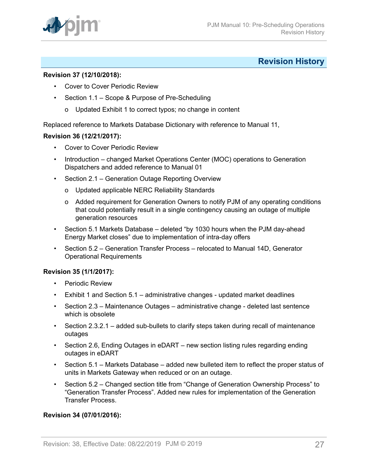

# <span id="page-26-0"></span>**Revision History**

### **Revision 37 (12/10/2018):**

- Cover to Cover Periodic Review
- Section 1.1 Scope & Purpose of Pre-Scheduling
	- o Updated Exhibit 1 to correct typos; no change in content

Replaced reference to Markets Database Dictionary with reference to Manual 11,

#### **Revision 36 (12/21/2017):**

- Cover to Cover Periodic Review
- Introduction changed Market Operations Center (MOC) operations to Generation Dispatchers and added reference to Manual 01
- Section 2.1 Generation Outage Reporting Overview
	- o Updated applicable NERC Reliability Standards
	- o Added requirement for Generation Owners to notify PJM of any operating conditions that could potentially result in a single contingency causing an outage of multiple generation resources
- Section 5.1 Markets Database deleted "by 1030 hours when the PJM day-ahead Energy Market closes" due to implementation of intra-day offers
- Section 5.2 Generation Transfer Process relocated to Manual 14D, Generator Operational Requirements

### **Revision 35 (1/1/2017):**

- Periodic Review
- Exhibit 1 and Section 5.1 administrative changes updated market deadlines
- Section 2.3 Maintenance Outages administrative change deleted last sentence which is obsolete
- Section 2.3.2.1 added sub-bullets to clarify steps taken during recall of maintenance outages
- Section 2.6, Ending Outages in eDART new section listing rules regarding ending outages in eDART
- Section 5.1 Markets Database added new bulleted item to reflect the proper status of units in Markets Gateway when reduced or on an outage.
- Section 5.2 Changed section title from "Change of Generation Ownership Process" to "Generation Transfer Process". Added new rules for implementation of the Generation Transfer Process.

### **Revision 34 (07/01/2016):**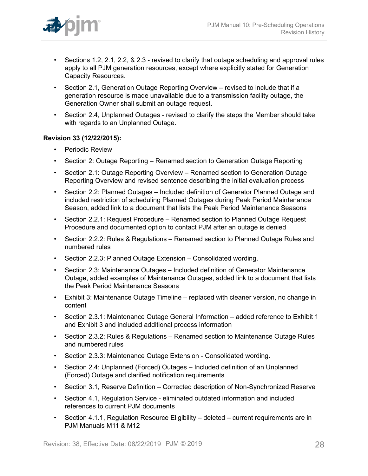

- Sections 1.2, 2.1, 2.2, & 2.3 revised to clarify that outage scheduling and approval rules apply to all PJM generation resources, except where explicitly stated for Generation Capacity Resources.
- Section 2.1, Generation Outage Reporting Overview revised to include that if a generation resource is made unavailable due to a transmission facility outage, the Generation Owner shall submit an outage request.
- Section 2.4, Unplanned Outages revised to clarify the steps the Member should take with regards to an Unplanned Outage.

### **Revision 33 (12/22/2015):**

- Periodic Review
- Section 2: Outage Reporting Renamed section to Generation Outage Reporting
- Section 2.1: Outage Reporting Overview Renamed section to Generation Outage Reporting Overview and revised sentence describing the initial evaluation process
- Section 2.2: Planned Outages Included definition of Generator Planned Outage and included restriction of scheduling Planned Outages during Peak Period Maintenance Season, added link to a document that lists the Peak Period Maintenance Seasons
- Section 2.2.1: Request Procedure Renamed section to Planned Outage Request Procedure and documented option to contact PJM after an outage is denied
- Section 2.2.2: Rules & Regulations Renamed section to Planned Outage Rules and numbered rules
- Section 2.2.3: Planned Outage Extension Consolidated wording.
- Section 2.3: Maintenance Outages Included definition of Generator Maintenance Outage, added examples of Maintenance Outages, added link to a document that lists the Peak Period Maintenance Seasons
- Exhibit 3: Maintenance Outage Timeline replaced with cleaner version, no change in content
- Section 2.3.1: Maintenance Outage General Information added reference to Exhibit 1 and Exhibit 3 and included additional process information
- Section 2.3.2: Rules & Regulations Renamed section to Maintenance Outage Rules and numbered rules
- Section 2.3.3: Maintenance Outage Extension Consolidated wording.
- Section 2.4: Unplanned (Forced) Outages Included definition of an Unplanned (Forced) Outage and clarified notification requirements
- Section 3.1, Reserve Definition Corrected description of Non-Synchronized Reserve
- Section 4.1, Regulation Service eliminated outdated information and included references to current PJM documents
- Section 4.1.1, Regulation Resource Eligibility deleted current requirements are in PJM Manuals M11 & M12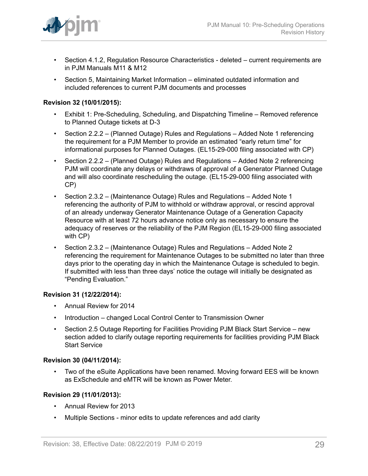

- Section 4.1.2, Regulation Resource Characteristics deleted current requirements are in PJM Manuals M11 & M12
- Section 5, Maintaining Market Information eliminated outdated information and included references to current PJM documents and processes

### **Revision 32 (10/01/2015):**

- Exhibit 1: Pre-Scheduling, Scheduling, and Dispatching Timeline Removed reference to Planned Outage tickets at D-3
- Section 2.2.2 (Planned Outage) Rules and Regulations Added Note 1 referencing the requirement for a PJM Member to provide an estimated "early return time" for informational purposes for Planned Outages. (EL15-29-000 filing associated with CP)
- Section 2.2.2 (Planned Outage) Rules and Regulations Added Note 2 referencing PJM will coordinate any delays or withdraws of approval of a Generator Planned Outage and will also coordinate rescheduling the outage. (EL15-29-000 filing associated with CP)
- Section 2.3.2 (Maintenance Outage) Rules and Regulations Added Note 1 referencing the authority of PJM to withhold or withdraw approval, or rescind approval of an already underway Generator Maintenance Outage of a Generation Capacity Resource with at least 72 hours advance notice only as necessary to ensure the adequacy of reserves or the reliability of the PJM Region (EL15-29-000 filing associated with CP)
- Section 2.3.2 (Maintenance Outage) Rules and Regulations Added Note 2 referencing the requirement for Maintenance Outages to be submitted no later than three days prior to the operating day in which the Maintenance Outage is scheduled to begin. If submitted with less than three days' notice the outage will initially be designated as "Pending Evaluation."

### **Revision 31 (12/22/2014):**

- Annual Review for 2014
- Introduction changed Local Control Center to Transmission Owner
- Section 2.5 Outage Reporting for Facilities Providing PJM Black Start Service new section added to clarify outage reporting requirements for facilities providing PJM Black Start Service

### **Revision 30 (04/11/2014):**

• Two of the eSuite Applications have been renamed. Moving forward EES will be known as ExSchedule and eMTR will be known as Power Meter.

### **Revision 29 (11/01/2013):**

- Annual Review for 2013
- Multiple Sections minor edits to update references and add clarity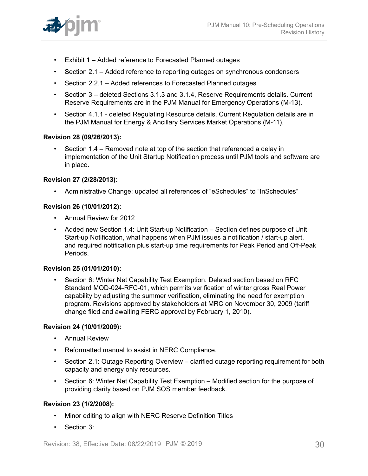

- Exhibit 1 Added reference to Forecasted Planned outages
- Section 2.1 Added reference to reporting outages on synchronous condensers
- Section 2.2.1 Added references to Forecasted Planned outages
- Section 3 deleted Sections 3.1.3 and 3.1.4, Reserve Requirements details. Current Reserve Requirements are in the PJM Manual for Emergency Operations (M-13).
- Section 4.1.1 deleted Regulating Resource details. Current Regulation details are in the PJM Manual for Energy & Ancillary Services Market Operations (M-11).

#### **Revision 28 (09/26/2013):**

• Section 1.4 – Removed note at top of the section that referenced a delay in implementation of the Unit Startup Notification process until PJM tools and software are in place.

#### **Revision 27 (2/28/2013):**

• Administrative Change: updated all references of "eSchedules" to "InSchedules"

#### **Revision 26 (10/01/2012):**

- Annual Review for 2012
- Added new Section 1.4: Unit Start-up Notification Section defines purpose of Unit Start-up Notification, what happens when PJM issues a notification / start-up alert, and required notification plus start-up time requirements for Peak Period and Off-Peak Periods.

#### **Revision 25 (01/01/2010):**

• Section 6: Winter Net Capability Test Exemption. Deleted section based on RFC Standard MOD-024-RFC-01, which permits verification of winter gross Real Power capability by adjusting the summer verification, eliminating the need for exemption program. Revisions approved by stakeholders at MRC on November 30, 2009 (tariff change filed and awaiting FERC approval by February 1, 2010).

#### **Revision 24 (10/01/2009):**

- Annual Review
- Reformatted manual to assist in NERC Compliance.
- Section 2.1: Outage Reporting Overview clarified outage reporting requirement for both capacity and energy only resources.
- Section 6: Winter Net Capability Test Exemption Modified section for the purpose of providing clarity based on PJM SOS member feedback.

### **Revision 23 (1/2/2008):**

- Minor editing to align with NERC Reserve Definition Titles
- Section 3: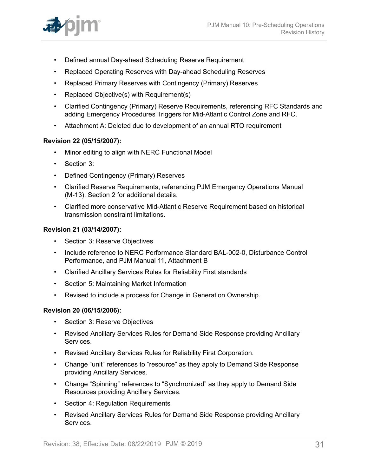

- Defined annual Day-ahead Scheduling Reserve Requirement
- Replaced Operating Reserves with Day-ahead Scheduling Reserves
- Replaced Primary Reserves with Contingency (Primary) Reserves
- Replaced Objective(s) with Requirement(s)
- Clarified Contingency (Primary) Reserve Requirements, referencing RFC Standards and adding Emergency Procedures Triggers for Mid-Atlantic Control Zone and RFC.
- Attachment A: Deleted due to development of an annual RTO requirement

#### **Revision 22 (05/15/2007):**

- Minor editing to align with NERC Functional Model
- Section 3:
- Defined Contingency (Primary) Reserves
- Clarified Reserve Requirements, referencing PJM Emergency Operations Manual (M-13), Section 2 for additional details.
- Clarified more conservative Mid-Atlantic Reserve Requirement based on historical transmission constraint limitations.

#### **Revision 21 (03/14/2007):**

- Section 3: Reserve Objectives
- Include reference to NERC Performance Standard BAL-002-0, Disturbance Control Performance, and PJM Manual 11, Attachment B
- Clarified Ancillary Services Rules for Reliability First standards
- Section 5: Maintaining Market Information
- Revised to include a process for Change in Generation Ownership.

#### **Revision 20 (06/15/2006):**

- Section 3: Reserve Objectives
- Revised Ancillary Services Rules for Demand Side Response providing Ancillary Services.
- Revised Ancillary Services Rules for Reliability First Corporation.
- Change "unit" references to "resource" as they apply to Demand Side Response providing Ancillary Services.
- Change "Spinning" references to "Synchronized" as they apply to Demand Side Resources providing Ancillary Services.
- Section 4: Regulation Requirements
- Revised Ancillary Services Rules for Demand Side Response providing Ancillary Services.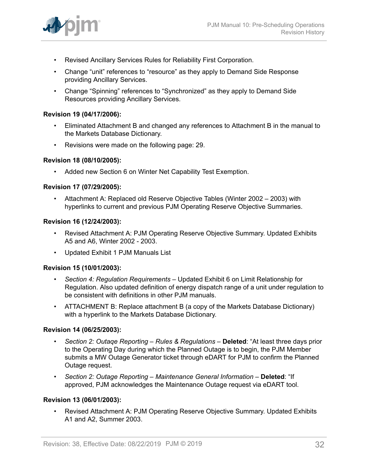

- Revised Ancillary Services Rules for Reliability First Corporation.
- Change "unit" references to "resource" as they apply to Demand Side Response providing Ancillary Services.
- Change "Spinning" references to "Synchronized" as they apply to Demand Side Resources providing Ancillary Services.

### **Revision 19 (04/17/2006):**

- Eliminated Attachment B and changed any references to Attachment B in the manual to the Markets Database Dictionary.
- Revisions were made on the following page: 29.

#### **Revision 18 (08/10/2005):**

• Added new Section 6 on Winter Net Capability Test Exemption.

#### **Revision 17 (07/29/2005):**

• Attachment A: Replaced old Reserve Objective Tables (Winter 2002 – 2003) with hyperlinks to current and previous PJM Operating Reserve Objective Summaries.

### **Revision 16 (12/24/2003):**

- Revised Attachment A: PJM Operating Reserve Objective Summary. Updated Exhibits A5 and A6, Winter 2002 - 2003.
- Updated Exhibit 1 PJM Manuals List

#### **Revision 15 (10/01/2003):**

- *Section 4: Regulation Requirements –* Updated Exhibit 6 on Limit Relationship for Regulation. Also updated definition of energy dispatch range of a unit under regulation to be consistent with definitions in other PJM manuals.
- ATTACHMENT B: Replace attachment B (a copy of the Markets Database Dictionary) with a hyperlink to the Markets Database Dictionary.

#### **Revision 14 (06/25/2003):**

- *Section 2: Outaqe Reporting Rules & Regulations –* **Deleted**: "At least three days prior to the Operating Day during which the Planned Outage is to begin, the PJM Member submits a MW Outage Generator ticket through eDART for PJM to confirm the Planned Outage request.
- *Section 2: Outage Reporting Maintenance General Information* **Deleted**: "If approved, PJM acknowledges the Maintenance Outage request via eDART tool.

### **Revision 13 (06/01/2003):**

• Revised Attachment A: PJM Operating Reserve Objective Summary. Updated Exhibits A1 and A2, Summer 2003.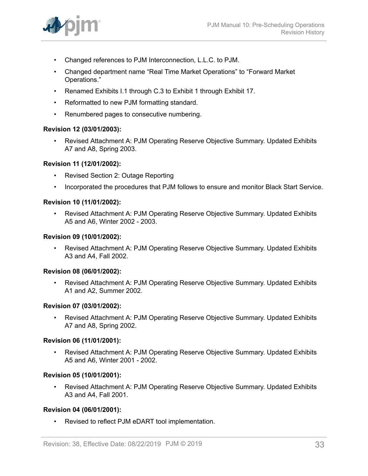

- Changed references to PJM Interconnection, L.L.C. to PJM.
- Changed department name "Real Time Market Operations" to "Forward Market Operations."
- Renamed Exhibits I.1 through C.3 to Exhibit 1 through Exhibit 17.
- Reformatted to new PJM formatting standard.
- Renumbered pages to consecutive numbering.

### **Revision 12 (03/01/2003):**

• Revised Attachment A: PJM Operating Reserve Objective Summary. Updated Exhibits A7 and A8, Spring 2003.

### **Revision 11 (12/01/2002):**

- Revised Section 2: Outage Reporting
- Incorporated the procedures that PJM follows to ensure and monitor Black Start Service.

### **Revision 10 (11/01/2002):**

• Revised Attachment A: PJM Operating Reserve Objective Summary. Updated Exhibits A5 and A6, Winter 2002 - 2003.

### **Revision 09 (10/01/2002):**

• Revised Attachment A: PJM Operating Reserve Objective Summary. Updated Exhibits A3 and A4, Fall 2002.

### **Revision 08 (06/01/2002):**

• Revised Attachment A: PJM Operating Reserve Objective Summary. Updated Exhibits A1 and A2, Summer 2002.

### **Revision 07 (03/01/2002):**

• Revised Attachment A: PJM Operating Reserve Objective Summary. Updated Exhibits A7 and A8, Spring 2002.

### **Revision 06 (11/01/2001):**

• Revised Attachment A: PJM Operating Reserve Objective Summary. Updated Exhibits A5 and A6, Winter 2001 - 2002.

### **Revision 05 (10/01/2001):**

• Revised Attachment A: PJM Operating Reserve Objective Summary. Updated Exhibits A3 and A4, Fall 2001.

### **Revision 04 (06/01/2001):**

Revised to reflect PJM eDART tool implementation.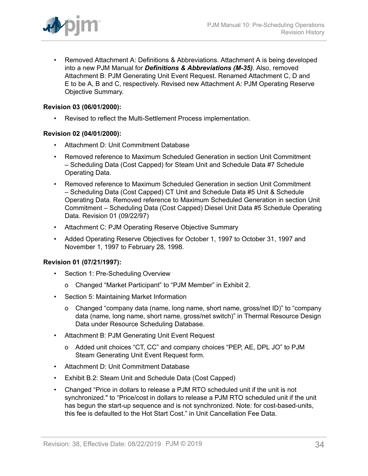

• Removed Attachment A: Definitions & Abbreviations. Attachment A is being developed into a new PJM Manual for *Definitions & Abbreviations (M-35)*. Also, removed Attachment B: PJM Generating Unit Event Request. Renamed Attachment C, D and E to be A, B and C, respectively. Revised new Attachment A: PJM Operating Reserve Objective Summary.

### **Revision 03 (06/01/2000):**

• Revised to reflect the Multi-Settlement Process implementation.

### **Revision 02 (04/01/2000):**

- Attachment D: Unit Commitment Database
- Removed reference to Maximum Scheduled Generation in section Unit Commitment – Scheduling Data (Cost Capped) for Steam Unit and Schedule Data #7 Schedule Operating Data.
- Removed reference to Maximum Scheduled Generation in section Unit Commitment – Scheduling Data (Cost Capped) CT Unit and Schedule Data #5 Unit & Schedule Operating Data. Removed reference to Maximum Scheduled Generation in section Unit Commitment – Scheduling Data (Cost Capped) Diesel Unit Data #5 Schedule Operating Data. Revision 01 (09/22/97)
- Attachment C: PJM Operating Reserve Objective Summary
- Added Operating Reserve Objectives for October 1, 1997 to October 31, 1997 and November 1, 1997 to February 28, 1998.

### **Revision 01 (07/21/1997):**

- Section 1: Pre-Scheduling Overview
	- o Changed "Market Participant" to "PJM Member" in Exhibit 2.
- Section 5: Maintaining Market Information
	- o Changed "company data (name, long name, short name, gross/net ID)" to "company data (name, long name, short name, gross/net switch)" in Thermal Resource Design Data under Resource Scheduling Database.
- Attachment B: PJM Generating Unit Event Request
	- o Added unit choices "CT, CC" and company choices "PEP, AE, DPL JO" to PJM Steam Generating Unit Event Request form.
- Attachment D: Unit Commitment Database
- Exhibit B.2: Steam Unit and Schedule Data (Cost Capped)
- Changed "Price in dollars to release a PJM RTO scheduled unit if the unit is not synchronized." to "Price/cost in dollars to release a PJM RTO scheduled unit if the unit has begun the start-up sequence and is not synchronized. Note: for cost-based-units, this fee is defaulted to the Hot Start Cost." in Unit Cancellation Fee Data.